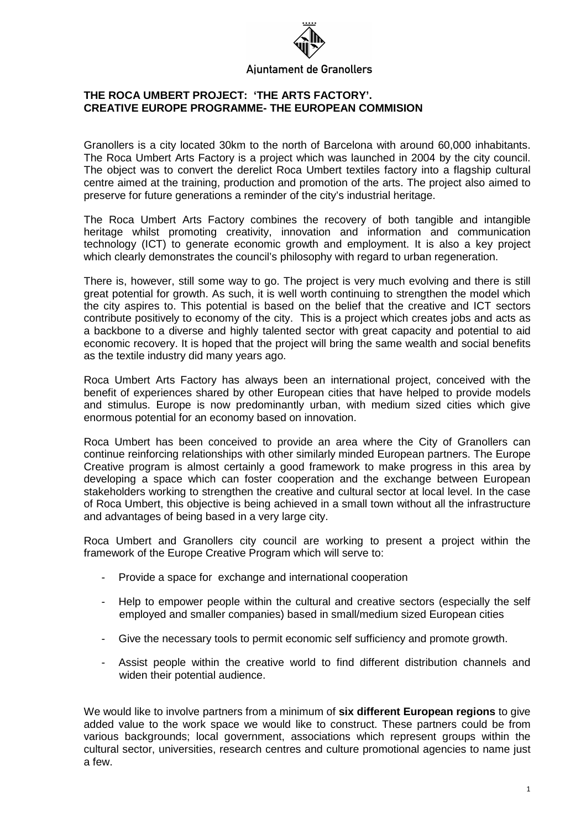# Ajuntament de Granollers

## **THE ROCA UMBERT PROJECT: 'THE ARTS FACTORY'. CREATIVE EUROPE PROGRAMME- THE EUROPEAN COMMISION**

Granollers is a city located 30km to the north of Barcelona with around 60,000 inhabitants. The Roca Umbert Arts Factory is a project which was launched in 2004 by the city council. The object was to convert the derelict Roca Umbert textiles factory into a flagship cultural centre aimed at the training, production and promotion of the arts. The project also aimed to preserve for future generations a reminder of the city's industrial heritage.

The Roca Umbert Arts Factory combines the recovery of both tangible and intangible heritage whilst promoting creativity, innovation and information and communication technology (ICT) to generate economic growth and employment. It is also a key project which clearly demonstrates the council's philosophy with regard to urban regeneration.

There is, however, still some way to go. The project is very much evolving and there is still great potential for growth. As such, it is well worth continuing to strengthen the model which the city aspires to. This potential is based on the belief that the creative and ICT sectors contribute positively to economy of the city. This is a project which creates jobs and acts as a backbone to a diverse and highly talented sector with great capacity and potential to aid economic recovery. It is hoped that the project will bring the same wealth and social benefits as the textile industry did many years ago.

Roca Umbert Arts Factory has always been an international project, conceived with the benefit of experiences shared by other European cities that have helped to provide models and stimulus. Europe is now predominantly urban, with medium sized cities which give enormous potential for an economy based on innovation.

Roca Umbert has been conceived to provide an area where the City of Granollers can continue reinforcing relationships with other similarly minded European partners. The Europe Creative program is almost certainly a good framework to make progress in this area by developing a space which can foster cooperation and the exchange between European stakeholders working to strengthen the creative and cultural sector at local level. In the case of Roca Umbert, this objective is being achieved in a small town without all the infrastructure and advantages of being based in a very large city.

Roca Umbert and Granollers city council are working to present a project within the framework of the Europe Creative Program which will serve to:

- Provide a space for exchange and international cooperation
- Help to empower people within the cultural and creative sectors (especially the self employed and smaller companies) based in small/medium sized European cities
- Give the necessary tools to permit economic self sufficiency and promote growth.
- Assist people within the creative world to find different distribution channels and widen their potential audience.

We would like to involve partners from a minimum of **six different European regions** to give added value to the work space we would like to construct. These partners could be from various backgrounds; local government, associations which represent groups within the cultural sector, universities, research centres and culture promotional agencies to name just a few.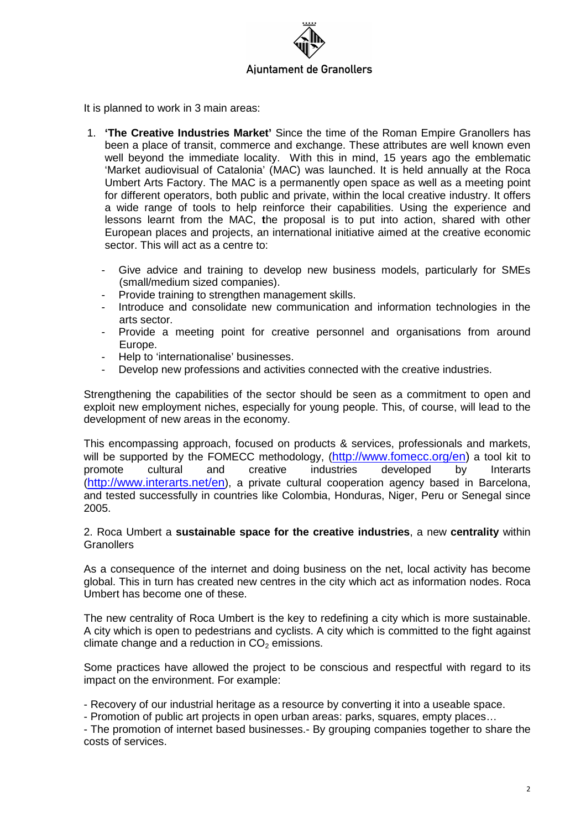

It is planned to work in 3 main areas:

- 1. **'The Creative Industries Market'** Since the time of the Roman Empire Granollers has been a place of transit, commerce and exchange. These attributes are well known even well beyond the immediate locality. With this in mind, 15 years ago the emblematic 'Market audiovisual of Catalonia' (MAC) was launched. It is held annually at the Roca Umbert Arts Factory. The MAC is a permanently open space as well as a meeting point for different operators, both public and private, within the local creative industry. It offers a wide range of tools to help reinforce their capabilities. Using the experience and lessons learnt from the MAC, **t**he proposal is to put into action, shared with other European places and projects, an international initiative aimed at the creative economic sector. This will act as a centre to:
	- Give advice and training to develop new business models, particularly for SMEs (small/medium sized companies).
	- Provide training to strengthen management skills.
	- Introduce and consolidate new communication and information technologies in the arts sector.
	- Provide a meeting point for creative personnel and organisations from around Europe.
	- Help to 'internationalise' businesses.
	- Develop new professions and activities connected with the creative industries.

Strengthening the capabilities of the sector should be seen as a commitment to open and exploit new employment niches, especially for young people. This, of course, will lead to the development of new areas in the economy.

This encompassing approach, focused on products & services, professionals and markets, will be supported by the FOMECC methodology, (http://www.fomecc.org/en) a tool kit to<br>promote cultural and creative industries developed by Interarts promote cultural and creative industries developed by Interarts (http://www.interarts.net/en), a private cultural cooperation agency based in Barcelona, and tested successfully in countries like Colombia, Honduras, Niger, Peru or Senegal since 2005.

#### 2. Roca Umbert a **sustainable space for the creative industries**, a new **centrality** within **Granollers**

As a consequence of the internet and doing business on the net, local activity has become global. This in turn has created new centres in the city which act as information nodes. Roca Umbert has become one of these.

The new centrality of Roca Umbert is the key to redefining a city which is more sustainable. A city which is open to pedestrians and cyclists. A city which is committed to the fight against climate change and a reduction in  $CO<sub>2</sub>$  emissions.

Some practices have allowed the project to be conscious and respectful with regard to its impact on the environment. For example:

- Recovery of our industrial heritage as a resource by converting it into a useable space.

- Promotion of public art projects in open urban areas: parks, squares, empty places…

- The promotion of internet based businesses.- By grouping companies together to share the costs of services.